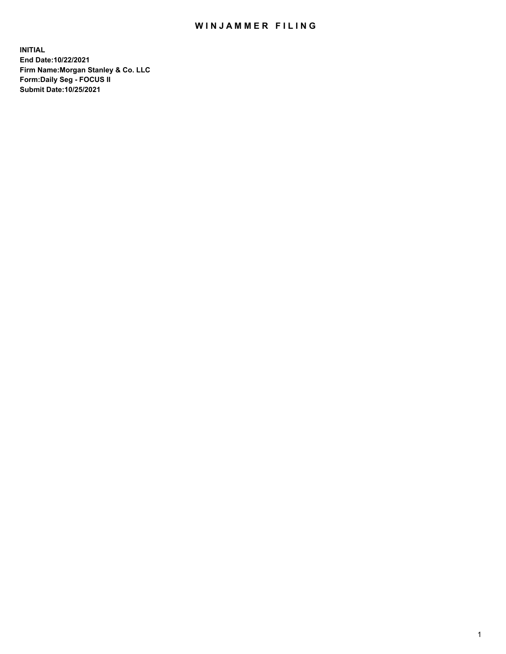## WIN JAMMER FILING

**INITIAL End Date:10/22/2021 Firm Name:Morgan Stanley & Co. LLC Form:Daily Seg - FOCUS II Submit Date:10/25/2021**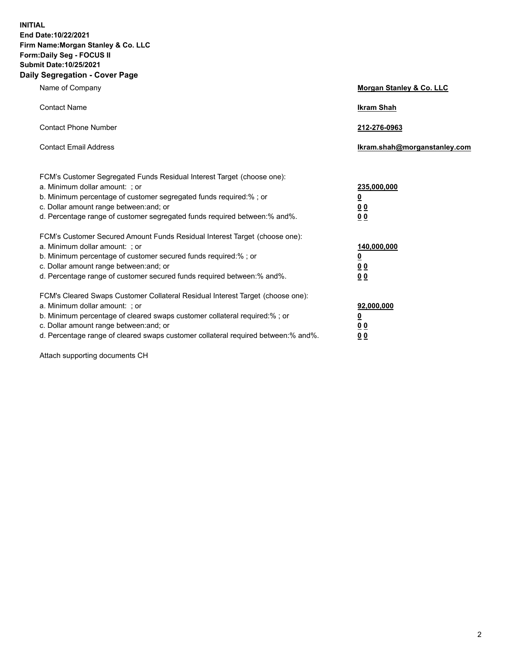**INITIAL End Date:10/22/2021 Firm Name:Morgan Stanley & Co. LLC Form:Daily Seg - FOCUS II Submit Date:10/25/2021 Daily Segregation - Cover Page**

| Name of Company                                                                                                                                                                                                                                                                                                               | Morgan Stanley & Co. LLC                               |
|-------------------------------------------------------------------------------------------------------------------------------------------------------------------------------------------------------------------------------------------------------------------------------------------------------------------------------|--------------------------------------------------------|
| <b>Contact Name</b>                                                                                                                                                                                                                                                                                                           | <b>Ikram Shah</b>                                      |
| <b>Contact Phone Number</b>                                                                                                                                                                                                                                                                                                   | 212-276-0963                                           |
| <b>Contact Email Address</b>                                                                                                                                                                                                                                                                                                  | Ikram.shah@morganstanley.com                           |
| FCM's Customer Segregated Funds Residual Interest Target (choose one):<br>a. Minimum dollar amount: ; or<br>b. Minimum percentage of customer segregated funds required:% ; or<br>c. Dollar amount range between: and; or<br>d. Percentage range of customer segregated funds required between:% and%.                        | 235,000,000<br><u>0</u><br><u>00</u><br>0 <sup>0</sup> |
| FCM's Customer Secured Amount Funds Residual Interest Target (choose one):<br>a. Minimum dollar amount: ; or<br>b. Minimum percentage of customer secured funds required:%; or<br>c. Dollar amount range between: and; or<br>d. Percentage range of customer secured funds required between:% and%.                           | 140,000,000<br><u>0</u><br><u>00</u><br>0 <sub>0</sub> |
| FCM's Cleared Swaps Customer Collateral Residual Interest Target (choose one):<br>a. Minimum dollar amount: ; or<br>b. Minimum percentage of cleared swaps customer collateral required:%; or<br>c. Dollar amount range between: and; or<br>d. Percentage range of cleared swaps customer collateral required between:% and%. | 92,000,000<br><u>0</u><br>0 Q<br>00                    |

Attach supporting documents CH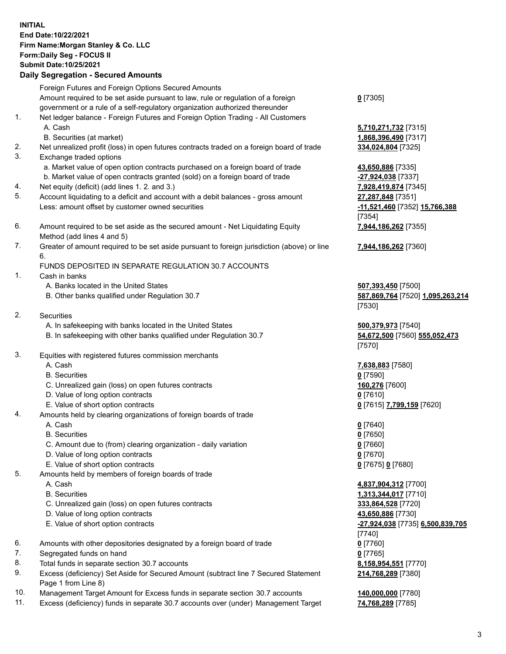## **INITIAL End Date:10/22/2021 Firm Name:Morgan Stanley & Co. LLC Form:Daily Seg - FOCUS II Submit Date:10/25/2021**

## **Daily Segregation - Secured Amounts**

Foreign Futures and Foreign Options Secured Amounts Amount required to be set aside pursuant to law, rule or regulation of a foreign government or a rule of a self-regulatory organization authorized thereunder 1. Net ledger balance - Foreign Futures and Foreign Option Trading - All Customers A. Cash **5,710,271,732** [7315] B. Securities (at market) **1,868,396,490** [7317] 2. Net unrealized profit (loss) in open futures contracts traded on a foreign board of trade **334,024,804** [7325] 3. Exchange traded options a. Market value of open option contracts purchased on a foreign board of trade **43,650,886** [7335] b. Market value of open contracts granted (sold) on a foreign board of trade **-27,924,038** [7337] 4. Net equity (deficit) (add lines 1. 2. and 3.) **7,928,419,874** [7345] 5. Account liquidating to a deficit and account with a debit balances - gross amount **27,287,848** [7351] Less: amount offset by customer owned securities **-11,521,460** [7352] **15,766,388** 6. Amount required to be set aside as the secured amount - Net Liquidating Equity Method (add lines 4 and 5) 7. Greater of amount required to be set aside pursuant to foreign jurisdiction (above) or line 6. FUNDS DEPOSITED IN SEPARATE REGULATION 30.7 ACCOUNTS 1. Cash in banks A. Banks located in the United States **507,393,450** [7500] B. Other banks qualified under Regulation 30.7 **587,869,764** [7520] **1,095,263,214** 2. Securities

- - A. In safekeeping with banks located in the United States **500,379,973** [7540]
	- B. In safekeeping with other banks qualified under Regulation 30.7 **54,672,500** [7560] **555,052,473**
- 3. Equities with registered futures commission merchants
	-
	- B. Securities **0** [7590]
	- C. Unrealized gain (loss) on open futures contracts **160,276** [7600]
	- D. Value of long option contracts **0** [7610]
	- E. Value of short option contracts **0** [7615] **7,799,159** [7620]
- 4. Amounts held by clearing organizations of foreign boards of trade
	- A. Cash **0** [7640]
	- B. Securities **0** [7650]
	- C. Amount due to (from) clearing organization daily variation **0** [7660]
	- D. Value of long option contracts **0** [7670]
	- E. Value of short option contracts **0** [7675] **0** [7680]
- 5. Amounts held by members of foreign boards of trade
	-
	-
	- C. Unrealized gain (loss) on open futures contracts **333,864,528** [7720]
	- D. Value of long option contracts **43,650,886** [7730]
	-
- 6. Amounts with other depositories designated by a foreign board of trade **0** [7760]
- 7. Segregated funds on hand **0** [7765]
- 8. Total funds in separate section 30.7 accounts **8,158,954,551** [7770]
- 9. Excess (deficiency) Set Aside for Secured Amount (subtract line 7 Secured Statement Page 1 from Line 8)
- 10. Management Target Amount for Excess funds in separate section 30.7 accounts **140,000,000** [7780]
- 11. Excess (deficiency) funds in separate 30.7 accounts over (under) Management Target **74,768,289** [7785]

**0** [7305]

[7354] **7,944,186,262** [7355]

**7,944,186,262** [7360]

[7530]

[7570]

A. Cash **7,638,883** [7580]

 A. Cash **4,837,904,312** [7700] B. Securities **1,313,344,017** [7710] E. Value of short option contracts **-27,924,038** [7735] **6,500,839,705** [7740] **214,768,289** [7380]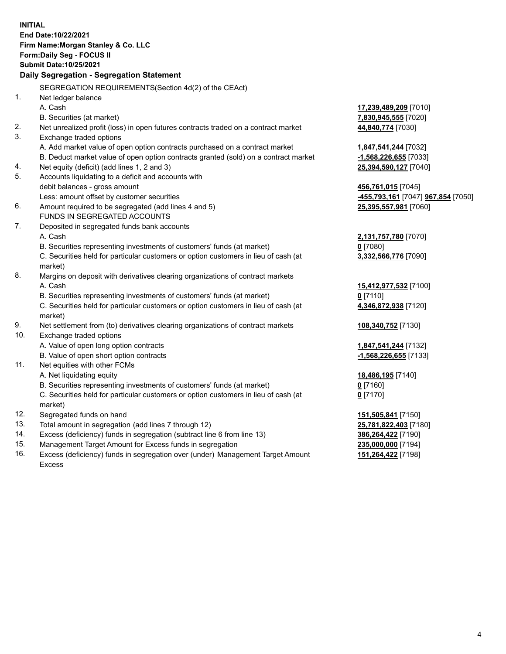**INITIAL End Date:10/22/2021 Firm Name:Morgan Stanley & Co. LLC Form:Daily Seg - FOCUS II Submit Date:10/25/2021 Daily Segregation - Segregation Statement** SEGREGATION REQUIREMENTS(Section 4d(2) of the CEAct) 1. Net ledger balance A. Cash **17,239,489,209** [7010] B. Securities (at market) **7,830,945,555** [7020] 2. Net unrealized profit (loss) in open futures contracts traded on a contract market **44,840,774** [7030] 3. Exchange traded options A. Add market value of open option contracts purchased on a contract market **1,847,541,244** [7032] B. Deduct market value of open option contracts granted (sold) on a contract market **-1,568,226,655** [7033] 4. Net equity (deficit) (add lines 1, 2 and 3) **25,394,590,127** [7040] 5. Accounts liquidating to a deficit and accounts with debit balances - gross amount **456,761,015** [7045] Less: amount offset by customer securities **-455,793,161** [7047] **967,854** [7050] 6. Amount required to be segregated (add lines 4 and 5) **25,395,557,981** [7060] FUNDS IN SEGREGATED ACCOUNTS 7. Deposited in segregated funds bank accounts A. Cash **2,131,757,780** [7070] B. Securities representing investments of customers' funds (at market) **0** [7080] C. Securities held for particular customers or option customers in lieu of cash (at market) **3,332,566,776** [7090] 8. Margins on deposit with derivatives clearing organizations of contract markets A. Cash **15,412,977,532** [7100] B. Securities representing investments of customers' funds (at market) **0** [7110] C. Securities held for particular customers or option customers in lieu of cash (at market) **4,346,872,938** [7120] 9. Net settlement from (to) derivatives clearing organizations of contract markets **108,340,752** [7130] 10. Exchange traded options A. Value of open long option contracts **1,847,541,244** [7132] B. Value of open short option contracts **-1,568,226,655** [7133] 11. Net equities with other FCMs A. Net liquidating equity **18,486,195** [7140] B. Securities representing investments of customers' funds (at market) **0** [7160] C. Securities held for particular customers or option customers in lieu of cash (at market) **0** [7170] 12. Segregated funds on hand **151,505,841** [7150] 13. Total amount in segregation (add lines 7 through 12) **25,781,822,403** [7180] 14. Excess (deficiency) funds in segregation (subtract line 6 from line 13) **386,264,422** [7190] 15. Management Target Amount for Excess funds in segregation **235,000,000** [7194] **151,264,422** [7198]

16. Excess (deficiency) funds in segregation over (under) Management Target Amount Excess